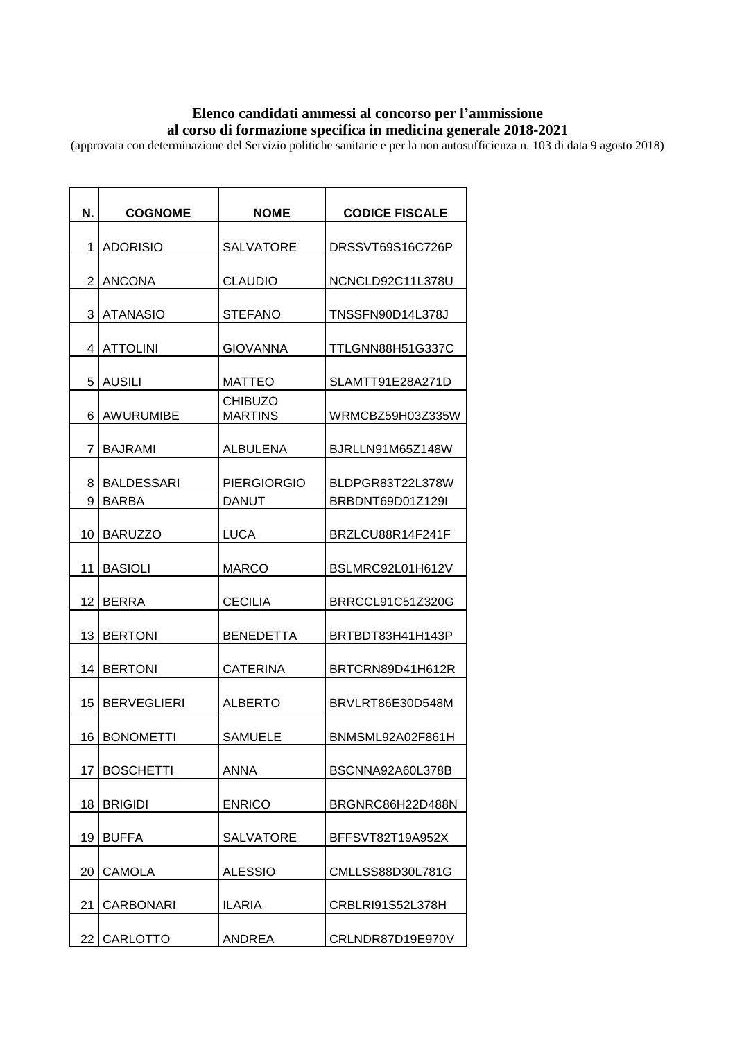## **Elenco candidati ammessi al concorso per l'ammissione al corso di formazione specifica in medicina generale 2018-2021**

(approvata con determinazione del Servizio politiche sanitarie e per la non autosufficienza n. 103 di data 9 agosto 2018)

| N.              | <b>COGNOME</b>                    | <b>NOME</b>                        | <b>CODICE FISCALE</b>                |
|-----------------|-----------------------------------|------------------------------------|--------------------------------------|
| 1               | <b>ADORISIO</b>                   | <b>SALVATORE</b>                   | DRSSVT69S16C726P                     |
| $\overline{2}$  | <b>ANCONA</b>                     | <b>CLAUDIO</b>                     | NCNCLD92C11L378U                     |
| 3               | ATANASIO                          | <b>STEFANO</b>                     | TNSSFN90D14L378J                     |
| 4               | <b>ATTOLINI</b>                   | <b>GIOVANNA</b>                    | TTLGNN88H51G337C                     |
| 5               | <b>AUSILI</b>                     | <b>MATTEO</b>                      | SLAMTT91E28A271D                     |
| 6               | AWURUMIBE                         | <b>CHIBUZO</b><br><b>MARTINS</b>   | WRMCBZ59H03Z335W                     |
| 7               |                                   |                                    |                                      |
|                 | <b>BAJRAMI</b>                    | <b>ALBULENA</b>                    | BJRLLN91M65Z148W                     |
| 8<br>9          | <b>BALDESSARI</b><br><b>BARBA</b> | <b>PIERGIORGIO</b><br><b>DANUT</b> | BLDPGR83T22L378W<br>BRBDNT69D01Z129I |
| 10              | <b>BARUZZO</b>                    | <b>LUCA</b>                        | BRZLCU88R14F241F                     |
| 11              | <b>BASIOLI</b>                    | <b>MARCO</b>                       | BSLMRC92L01H612V                     |
| 12              | <b>BERRA</b>                      | <b>CECILIA</b>                     | BRRCCL91C51Z320G                     |
| 13              | <b>BERTONI</b>                    | <b>BENEDETTA</b>                   | BRTBDT83H41H143P                     |
| 14              | <b>BERTONI</b>                    | <b>CATERINA</b>                    | BRTCRN89D41H612R                     |
| 15              | <b>BERVEGLIERI</b>                | <b>ALBERTO</b>                     | BRVLRT86E30D548M                     |
|                 |                                   |                                    |                                      |
| 16 I            | <b>BONOMETTI</b>                  | <b>SAMUELE</b>                     | BNMSML92A02F861H                     |
| 17              | <b>BOSCHETTI</b>                  | <b>ANNA</b>                        | BSCNNA92A60L378B                     |
| 18              | <b>BRIGIDI</b>                    | <b>ENRICO</b>                      | BRGNRC86H22D488N                     |
| 19              | <b>BUFFA</b>                      | <b>SALVATORE</b>                   | BFFSVT82T19A952X                     |
| 20              | <b>CAMOLA</b>                     | <b>ALESSIO</b>                     | CMLLSS88D30L781G                     |
| 21              | CARBONARI                         | <b>ILARIA</b>                      | CRBLRI91S52L378H                     |
| 22 <sub>1</sub> | <b>CARLOTTO</b>                   | <b>ANDREA</b>                      | CRLNDR87D19E970V                     |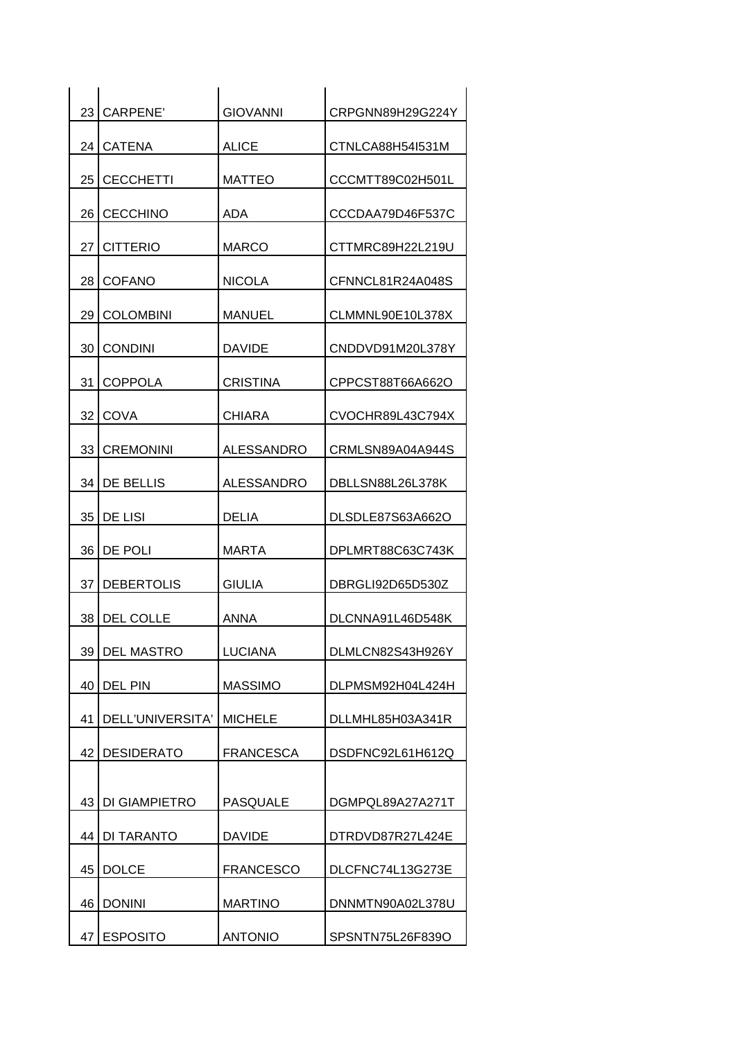| 23 | CARPENE'          | <b>GIOVANNI</b>  | CRPGNN89H29G224Y |
|----|-------------------|------------------|------------------|
|    | 24 CATENA         | <b>ALICE</b>     | CTNLCA88H54I531M |
| 25 | <b>CECCHETTI</b>  | <b>MATTEO</b>    | CCCMTT89C02H501L |
|    | 26 CECCHINO       | <b>ADA</b>       | CCCDAA79D46F537C |
| 27 | <b>CITTERIO</b>   | <b>MARCO</b>     | CTTMRC89H22L219U |
| 28 | <b>COFANO</b>     | <b>NICOLA</b>    | CFNNCL81R24A048S |
| 29 | <b>COLOMBINI</b>  | <b>MANUEL</b>    | CLMMNL90E10L378X |
| 30 | <b>CONDINI</b>    | <b>DAVIDE</b>    | CNDDVD91M20L378Y |
| 31 | <b>COPPOLA</b>    | <b>CRISTINA</b>  | CPPCST88T66A662O |
| 32 | <b>COVA</b>       | <b>CHIARA</b>    | CVOCHR89L43C794X |
|    | 33 CREMONINI      | ALESSANDRO       | CRMLSN89A04A944S |
|    | 34 DE BELLIS      | ALESSANDRO       | DBLLSN88L26L378K |
|    | 35   DE LISI      | <b>DELIA</b>     | DLSDLE87S63A662O |
| 36 | DE POLI           | <b>MARTA</b>     | DPLMRT88C63C743K |
|    | 37   DEBERTOLIS   | <b>GIULIA</b>    | DBRGLI92D65D530Z |
|    | 38 DEL COLLE      | ANNA             | DLCNNA91L46D548K |
| 39 | <b>DEL MASTRO</b> | <b>LUCIANA</b>   | DLMLCN82S43H926Y |
| 40 | DEL PIN           | <b>MASSIMO</b>   | DLPMSM92H04L424H |
| 41 | DELL'UNIVERSITA'  | <b>MICHELE</b>   | DLLMHL85H03A341R |
|    | 42   DESIDERATO   | <b>FRANCESCA</b> | DSDFNC92L61H612Q |
| 43 | DI GIAMPIETRO     | <b>PASQUALE</b>  | DGMPQL89A27A271T |
|    | 44   DI TARANTO   | <b>DAVIDE</b>    | DTRDVD87R27L424E |
| 45 | <b>DOLCE</b>      | <b>FRANCESCO</b> | DLCFNC74L13G273E |
| 46 | <b>DONINI</b>     | <b>MARTINO</b>   | DNNMTN90A02L378U |
| 47 | <b>ESPOSITO</b>   | <b>ANTONIO</b>   | SPSNTN75L26F839O |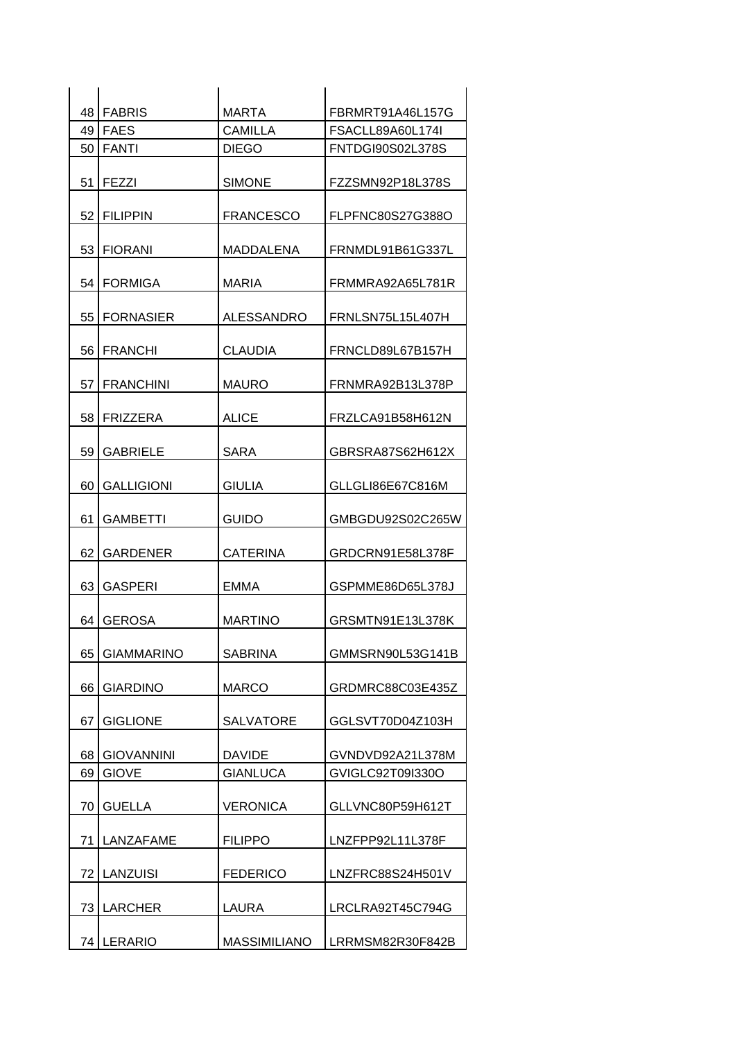|                 | 48 FABRIS         | <b>MARTA</b>        | FBRMRT91A46L157G |
|-----------------|-------------------|---------------------|------------------|
|                 | 49 FAES           | <b>CAMILLA</b>      | FSACLL89A60L174I |
|                 | 50 FANTI          | <b>DIEGO</b>        | FNTDGI90S02L378S |
|                 | 51   FEZZI        | <b>SIMONE</b>       | FZZSMN92P18L378S |
| 52              | <b>FILIPPIN</b>   | <b>FRANCESCO</b>    | FLPFNC80S27G388O |
|                 | 53 FIORANI        | MADDALENA           | FRNMDL91B61G337L |
| 54 <sub>1</sub> | <b>FORMIGA</b>    | <b>MARIA</b>        | FRMMRA92A65L781R |
|                 | 55 FORNASIER      | <b>ALESSANDRO</b>   | FRNLSN75L15L407H |
|                 | 56 FRANCHI        | <b>CLAUDIA</b>      | FRNCLD89L67B157H |
|                 | 57 FRANCHINI      | <b>MAURO</b>        | FRNMRA92B13L378P |
| 58              | <b>FRIZZERA</b>   | <b>ALICE</b>        | FRZLCA91B58H612N |
| 59              | <b>GABRIELE</b>   | <b>SARA</b>         | GBRSRA87S62H612X |
| 60              | <b>GALLIGIONI</b> | <b>GIULIA</b>       | GLLGLI86E67C816M |
| 61              | <b>GAMBETTI</b>   | <b>GUIDO</b>        | GMBGDU92S02C265W |
| 62              | <b>GARDENER</b>   | <b>CATERINA</b>     | GRDCRN91E58L378F |
| 63              | <b>GASPERI</b>    | <b>EMMA</b>         | GSPMME86D65L378J |
|                 | 64 GEROSA         | <b>MARTINO</b>      | GRSMTN91E13L378K |
| 65              | <b>GIAMMARINO</b> | <b>SABRINA</b>      | GMMSRN90L53G141B |
| 66              | <b>GIARDINO</b>   | <b>MARCO</b>        | GRDMRC88C03E435Z |
| 67              | <b>GIGLIONE</b>   | <b>SALVATORE</b>    | GGLSVT70D04Z103H |
| 68              | <b>GIOVANNINI</b> | <b>DAVIDE</b>       | GVNDVD92A21L378M |
| 69              | <b>GIOVE</b>      | <b>GIANLUCA</b>     | GVIGLC92T09I330O |
| 70              | <b>GUELLA</b>     | <b>VERONICA</b>     | GLLVNC80P59H612T |
| 71              | LANZAFAME         | <b>FILIPPO</b>      | LNZFPP92L11L378F |
|                 | 72   LANZUISI     | <b>FEDERICO</b>     | LNZFRC88S24H501V |
|                 | 73 LARCHER        | <b>LAURA</b>        | LRCLRA92T45C794G |
|                 | 74 LERARIO        | <b>MASSIMILIANO</b> | LRRMSM82R30F842B |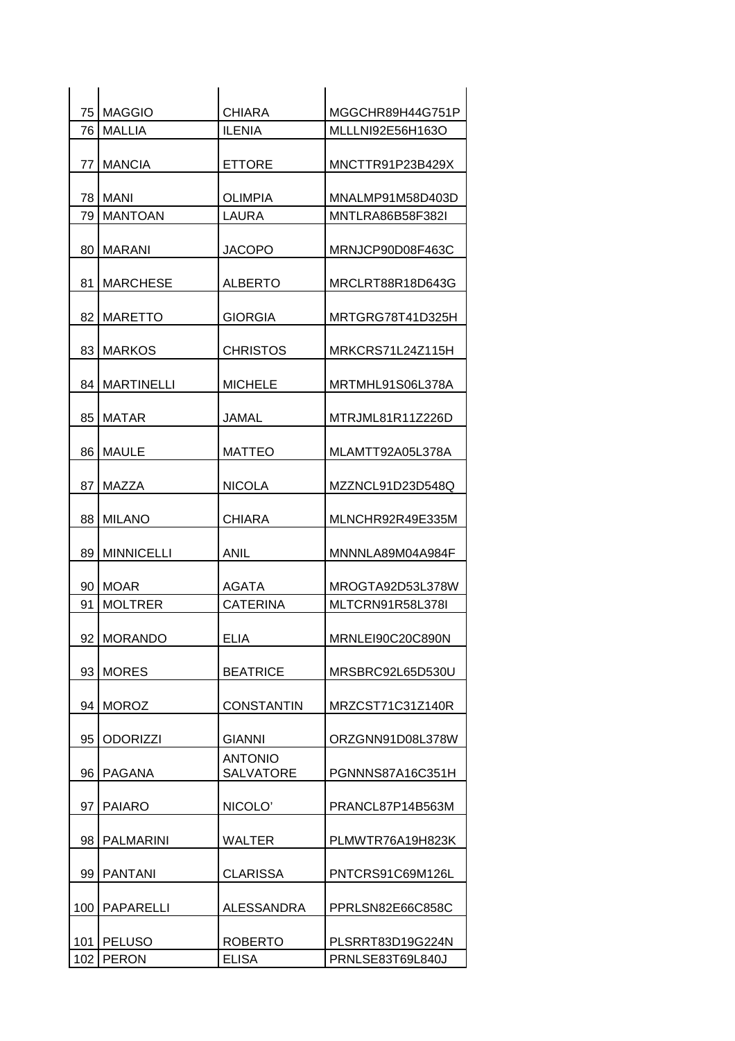|     | 75   MAGGIO     | <b>CHIARA</b>                      | MGGCHR89H44G751P        |
|-----|-----------------|------------------------------------|-------------------------|
| 76  | MALLIA          | <b>ILENIA</b>                      | MLLLNI92E56H163O        |
| 77  | <b>MANCIA</b>   | <b>ETTORE</b>                      | MNCTTR91P23B429X        |
|     | 78   MANI       | <b>OLIMPIA</b>                     | MNALMP91M58D403D        |
|     | 79   MANTOAN    | LAURA                              | <b>MNTLRA86B58F382L</b> |
| 80  | MARANI          | <b>JACOPO</b>                      | MRNJCP90D08F463C        |
| 81  | <b>MARCHESE</b> | <b>ALBERTO</b>                     | MRCLRT88R18D643G        |
|     | 82   MARETTO    | <b>GIORGIA</b>                     | MRTGRG78T41D325H        |
|     | 83 MARKOS       | <b>CHRISTOS</b>                    | MRKCRS71L24Z115H        |
| 84  | MARTINELLI      | MICHELE                            | MRTMHL91S06L378A        |
| 85  | <b>MATAR</b>    | JAMAL                              | MTRJML81R11Z226D        |
|     | 86   MAULE      | <b>MATTEO</b>                      | MLAMTT92A05L378A        |
| 87  | MAZZA           | <b>NICOLA</b>                      | MZZNCL91D23D548Q        |
|     | 88 MILANO       | <b>CHIARA</b>                      | MLNCHR92R49E335M        |
|     | 89   MINNICELLI | ANIL                               | MNNNLA89M04A984F        |
|     | 90 MOAR         | AGATA                              | MROGTA92D53L378W        |
| 91  | <b>MOLTRER</b>  | <b>CATERINA</b>                    | MLTCRN91R58L378I        |
|     | 92 MORANDO      | <b>ELIA</b>                        | MRNLEI90C20C890N        |
| 93  | <b>MORES</b>    | <b>BEATRICE</b>                    | MRSBRC92L65D530U        |
|     | 94 MOROZ        | <b>CONSTANTIN</b>                  | MRZCST71C31Z140R        |
| 95  | <b>ODORIZZI</b> | <b>GIANNI</b>                      | ORZGNN91D08L378W        |
| 96  | PAGANA          | <b>ANTONIO</b><br><b>SALVATORE</b> | PGNNNS87A16C351H        |
| 97  | <b>PAIARO</b>   | NICOLO'                            | PRANCL87P14B563M        |
| 98  | PALMARINI       | <b>WALTER</b>                      | PLMWTR76A19H823K        |
|     | 99   PANTANI    | <b>CLARISSA</b>                    | PNTCRS91C69M126L        |
| 100 | PAPARELLI       | ALESSANDRA                         | PPRLSN82E66C858C        |
| 101 | <b>PELUSO</b>   | <b>ROBERTO</b>                     | PLSRRT83D19G224N        |
| 102 | PERON           | <b>ELISA</b>                       | PRNLSE83T69L840J        |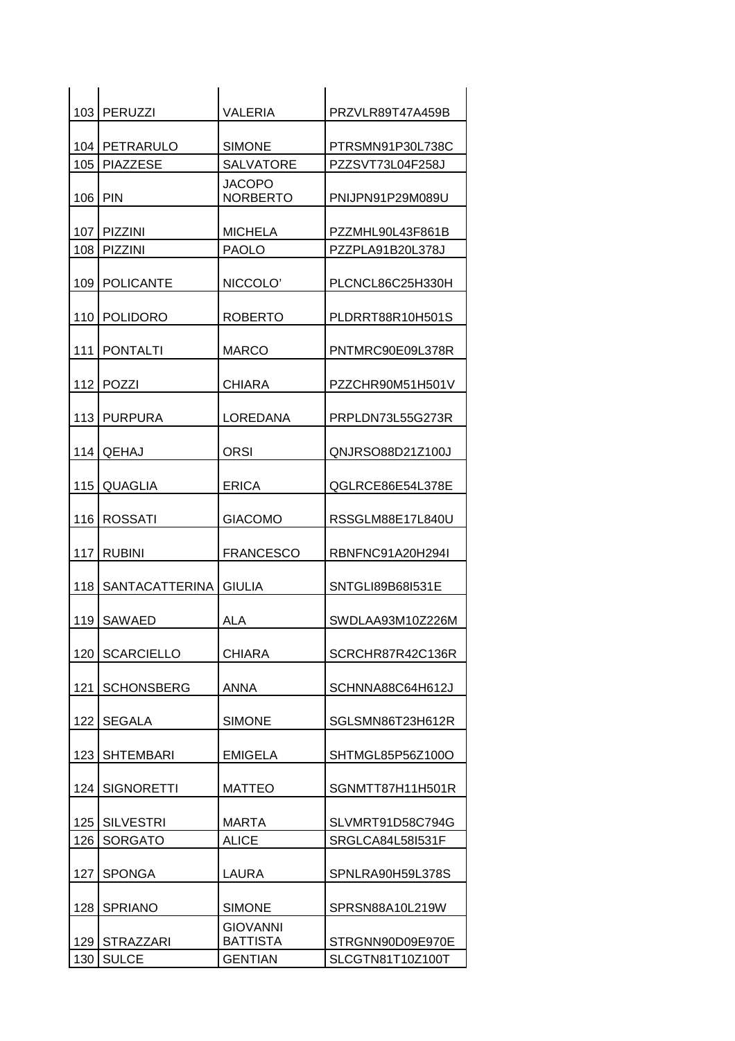|                  | 103   PERUZZI     | <b>VALERIA</b>                     | PRZVLR89T47A459B |
|------------------|-------------------|------------------------------------|------------------|
|                  |                   |                                    |                  |
|                  | 104   PETRARULO   | <b>SIMONE</b>                      | PTRSMN91P30L738C |
|                  | 105 PIAZZESE      | <b>SALVATORE</b>                   | PZZSVT73L04F258J |
| 106 PIN          |                   | <b>JACOPO</b><br><b>NORBERTO</b>   | PNIJPN91P29M089U |
|                  | 107 PIZZINI       | <b>MICHELA</b>                     | PZZMHL90L43F861B |
|                  | 108 PIZZINI       | <b>PAOLO</b>                       | PZZPLA91B20L378J |
|                  | 109   POLICANTE   | NICCOLO'                           | PLCNCL86C25H330H |
|                  | 110   POLIDORO    | <b>ROBERTO</b>                     | PLDRRT88R10H501S |
| 111              | <b>PONTALTI</b>   | <b>MARCO</b>                       | PNTMRC90E09L378R |
|                  | 112   POZZI       | <b>CHIARA</b>                      | PZZCHR90M51H501V |
|                  | 113 PURPURA       | LOREDANA                           | PRPLDN73L55G273R |
| 114              | <b>QEHAJ</b>      | <b>ORSI</b>                        | QNJRSO88D21Z100J |
| 115              | QUAGLIA           | <b>ERICA</b>                       | QGLRCE86E54L378E |
|                  | 116 ROSSATI       | <b>GIACOMO</b>                     | RSSGLM88E17L840U |
|                  | 117 RUBINI        | <b>FRANCESCO</b>                   | RBNFNC91A20H294I |
| 118              | SANTACATTERINA    | <b>GIULIA</b>                      | SNTGLI89B68I531E |
|                  | 119 SAWAED        | <b>ALA</b>                         | SWDLAA93M10Z226M |
| 120              | <b>SCARCIELLO</b> | <b>CHIARA</b>                      | SCRCHR87R42C136R |
| 121              | <b>SCHONSBERG</b> | <b>ANNA</b>                        | SCHNNA88C64H612J |
| 122              | <b>SEGALA</b>     | <b>SIMONE</b>                      | SGLSMN86T23H612R |
| 123 <sub>1</sub> | <b>SHTEMBARI</b>  | <b>EMIGELA</b>                     | SHTMGL85P56Z100O |
| 124              | <b>SIGNORETTI</b> | <b>MATTEO</b>                      | SGNMTT87H11H501R |
|                  | 125   SILVESTRI   | <b>MARTA</b>                       | SLVMRT91D58C794G |
| 126              | <b>SORGATO</b>    | <b>ALICE</b>                       | SRGLCA84L58I531F |
| 127              | <b>SPONGA</b>     | LAURA                              | SPNLRA90H59L378S |
| 128              | <b>SPRIANO</b>    | <b>SIMONE</b>                      | SPRSN88A10L219W  |
|                  | 129 STRAZZARI     | <b>GIOVANNI</b><br><b>BATTISTA</b> | STRGNN90D09E970E |
| 130              | <b>SULCE</b>      | <b>GENTIAN</b>                     | SLCGTN81T10Z100T |
|                  |                   |                                    |                  |